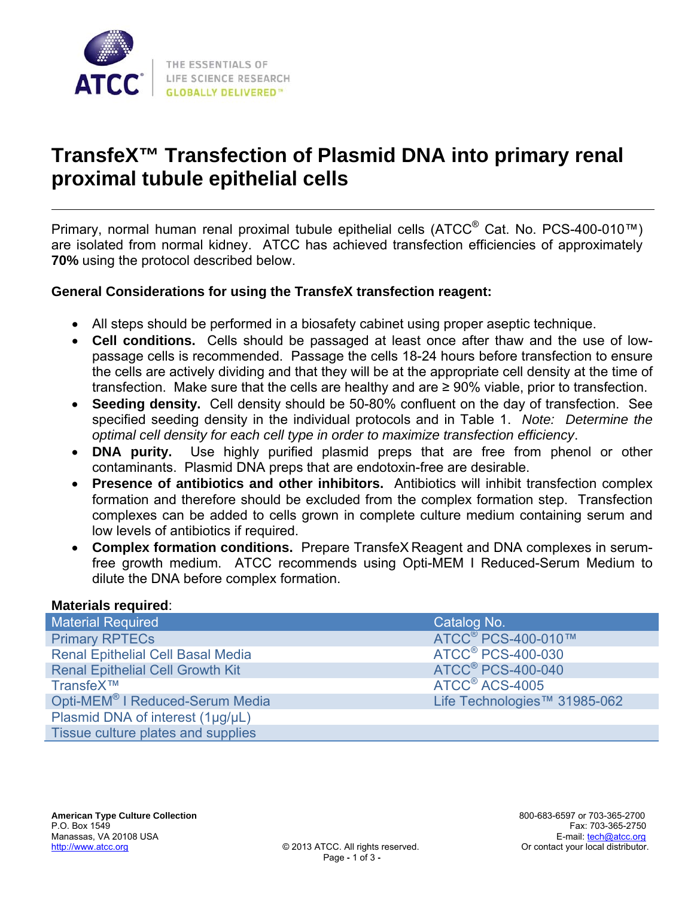

# **TransfeX™ Transfection of Plasmid DNA into primary renal proximal tubule epithelial cells**

Primary, normal human renal proximal tubule epithelial cells (ATCC<sup>®</sup> Cat. No. PCS-400-010™) are isolated from normal kidney. ATCC has achieved transfection efficiencies of approximately **70%** using the protocol described below.

### **General Considerations for using the TransfeX transfection reagent:**

- All steps should be performed in a biosafety cabinet using proper aseptic technique.
- **Cell conditions.** Cells should be passaged at least once after thaw and the use of lowpassage cells is recommended. Passage the cells 18-24 hours before transfection to ensure the cells are actively dividing and that they will be at the appropriate cell density at the time of transfection. Make sure that the cells are healthy and are ≥ 90% viable, prior to transfection.
- **Seeding density.** Cell density should be 50-80% confluent on the day of transfection. See specified seeding density in the individual protocols and in Table 1. *Note: Determine the optimal cell density for each cell type in order to maximize transfection efficiency*.
- **DNA purity.** Use highly purified plasmid preps that are free from phenol or other contaminants. Plasmid DNA preps that are endotoxin-free are desirable.
- **Presence of antibiotics and other inhibitors.** Antibiotics will inhibit transfection complex formation and therefore should be excluded from the complex formation step. Transfection complexes can be added to cells grown in complete culture medium containing serum and low levels of antibiotics if required.
- **Complex formation conditions.** Prepare TransfeX Reagent and DNA complexes in serumfree growth medium. ATCC recommends using Opti-MEM I Reduced-Serum Medium to dilute the DNA before complex formation.

#### **Materials required**:

| <b>Material Required</b>                    | Catalog No.                         |
|---------------------------------------------|-------------------------------------|
| <b>Primary RPTECs</b>                       | ATCC <sup>®</sup> PCS-400-010™      |
| <b>Renal Epithelial Cell Basal Media</b>    | <b>ATCC<sup>®</sup> PCS-400-030</b> |
| <b>Renal Epithelial Cell Growth Kit</b>     | <b>ATCC<sup>®</sup> PCS-400-040</b> |
| TransfeX™                                   | ATCC <sup>®</sup> ACS-4005          |
| Opti-MEM <sup>®</sup> I Reduced-Serum Media | Life Technologies™ 31985-062        |
| Plasmid DNA of interest (1µg/µL)            |                                     |
| Tissue culture plates and supplies          |                                     |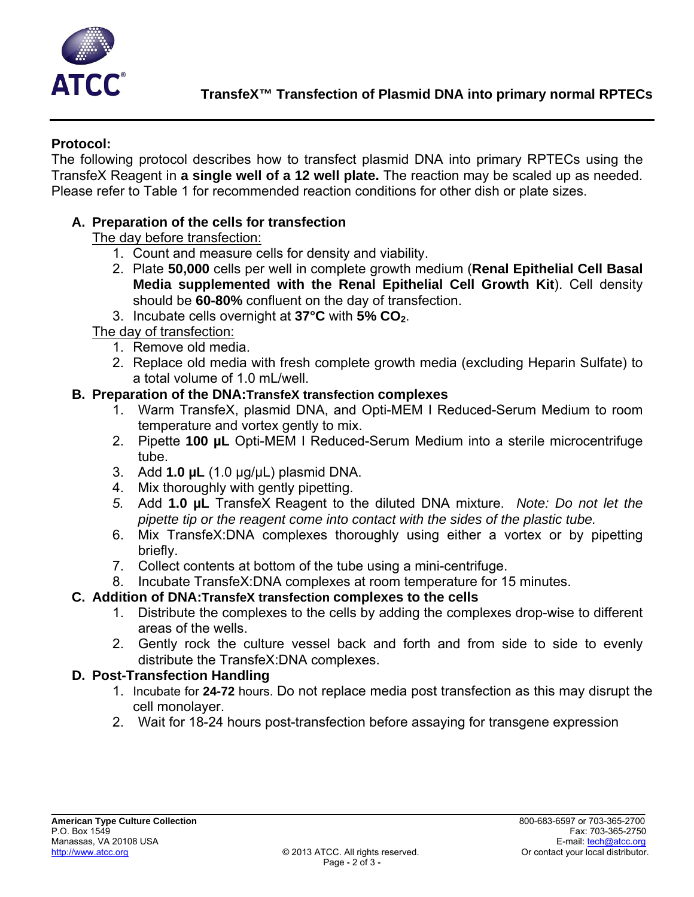

# **Protocol:**

The following protocol describes how to transfect plasmid DNA into primary RPTECs using the TransfeX Reagent in **a single well of a 12 well plate.** The reaction may be scaled up as needed. Please refer to Table 1 for recommended reaction conditions for other dish or plate sizes.

# **A. Preparation of the cells for transfection**

The day before transfection:

- 1. Count and measure cells for density and viability.
- 2. Plate **50,000** cells per well in complete growth medium (**Renal Epithelial Cell Basal Media supplemented with the Renal Epithelial Cell Growth Kit**). Cell density should be **60-80%** confluent on the day of transfection.
- 3. Incubate cells overnight at **37°C** with **5% CO2**.

The day of transfection:

- 1. Remove old media.
- 2. Replace old media with fresh complete growth media (excluding Heparin Sulfate) to a total volume of 1.0 mL/well.

### **B. Preparation of the DNA:TransfeX transfection complexes**

- 1. Warm TransfeX, plasmid DNA, and Opti-MEM I Reduced-Serum Medium to room temperature and vortex gently to mix.
- 2. Pipette **100 µL** Opti-MEM I Reduced-Serum Medium into a sterile microcentrifuge tube.
- 3. Add **1.0 µL** (1.0 µg/µL) plasmid DNA.
- 4. Mix thoroughly with gently pipetting.
- *5.* Add **1.0 µL** TransfeX Reagent to the diluted DNA mixture. *Note: Do not let the pipette tip or the reagent come into contact with the sides of the plastic tube.*
- 6. Mix TransfeX:DNA complexes thoroughly using either a vortex or by pipetting briefly.
- 7. Collect contents at bottom of the tube using a mini-centrifuge.
- 8. Incubate TransfeX:DNA complexes at room temperature for 15 minutes.

## **C. Addition of DNA:TransfeX transfection complexes to the cells**

- 1. Distribute the complexes to the cells by adding the complexes drop-wise to different areas of the wells.
- 2. Gently rock the culture vessel back and forth and from side to side to evenly distribute the TransfeX:DNA complexes.

## **D. Post-Transfection Handling**

- 1. Incubate for **24-72** hours. Do not replace media post transfection as this may disrupt the cell monolayer.
- 2. Wait for 18-24 hours post-transfection before assaying for transgene expression